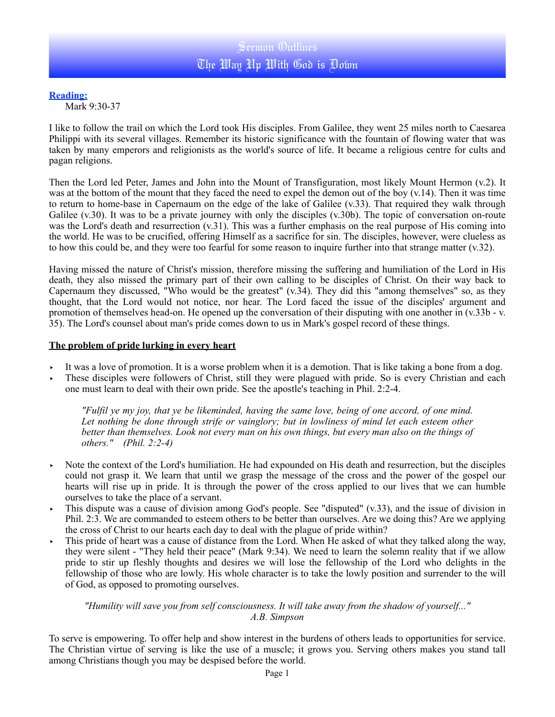## **Reading:**

Mark 9:30-37

I like to follow the trail on which the Lord took His disciples. From Galilee, they went 25 miles north to Caesarea Philippi with its several villages. Remember its historic significance with the fountain of flowing water that was taken by many emperors and religionists as the world's source of life. It became a religious centre for cults and pagan religions.

Then the Lord led Peter, James and John into the Mount of Transfiguration, most likely Mount Hermon (v.2). It was at the bottom of the mount that they faced the need to expel the demon out of the boy (v.14). Then it was time to return to home-base in Capernaum on the edge of the lake of Galilee (v.33). That required they walk through Galilee (v.30). It was to be a private journey with only the disciples (v.30b). The topic of conversation on-route was the Lord's death and resurrection (v.31). This was a further emphasis on the real purpose of His coming into the world. He was to be crucified, offering Himself as a sacrifice for sin. The disciples, however, were clueless as to how this could be, and they were too fearful for some reason to inquire further into that strange matter (v.32).

Having missed the nature of Christ's mission, therefore missing the suffering and humiliation of the Lord in His death, they also missed the primary part of their own calling to be disciples of Christ. On their way back to Capernaum they discussed, "Who would be the greatest"  $(v.\overline{34})$ . They did this "among themselves" so, as they thought, that the Lord would not notice, nor hear. The Lord faced the issue of the disciples' argument and promotion of themselves head-on. He opened up the conversation of their disputing with one another in (v.33b - v. 35). The Lord's counsel about man's pride comes down to us in Mark's gospel record of these things.

## **The problem of pride lurking in every heart**

- It was a love of promotion. It is a worse problem when it is a demotion. That is like taking a bone from a dog.
- ‣ These disciples were followers of Christ, still they were plagued with pride. So is every Christian and each one must learn to deal with their own pride. See the apostle's teaching in Phil. 2:2-4.

*"Fulfil ye my joy, that ye be likeminded, having the same love, being of one accord, of one mind. Let nothing be done through strife or vainglory; but in lowliness of mind let each esteem other better than themselves. Look not every man on his own things, but every man also on the things of others." (Phil. 2:2-4)* 

- ‣ Note the context of the Lord's humiliation. He had expounded on His death and resurrection, but the disciples could not grasp it. We learn that until we grasp the message of the cross and the power of the gospel our hearts will rise up in pride. It is through the power of the cross applied to our lives that we can humble ourselves to take the place of a servant.
- ‣ This dispute was a cause of division among God's people. See "disputed" (v.33), and the issue of division in Phil. 2:3. We are commanded to esteem others to be better than ourselves. Are we doing this? Are we applying the cross of Christ to our hearts each day to deal with the plague of pride within?
- ‣ This pride of heart was a cause of distance from the Lord. When He asked of what they talked along the way, they were silent - "They held their peace" (Mark 9:34). We need to learn the solemn reality that if we allow pride to stir up fleshly thoughts and desires we will lose the fellowship of the Lord who delights in the fellowship of those who are lowly. His whole character is to take the lowly position and surrender to the will of God, as opposed to promoting ourselves.

## *"Humility will save you from self consciousness. It will take away from the shadow of yourself..." A.B. Simpson*

To serve is empowering. To offer help and show interest in the burdens of others leads to opportunities for service. The Christian virtue of serving is like the use of a muscle; it grows you. Serving others makes you stand tall among Christians though you may be despised before the world.